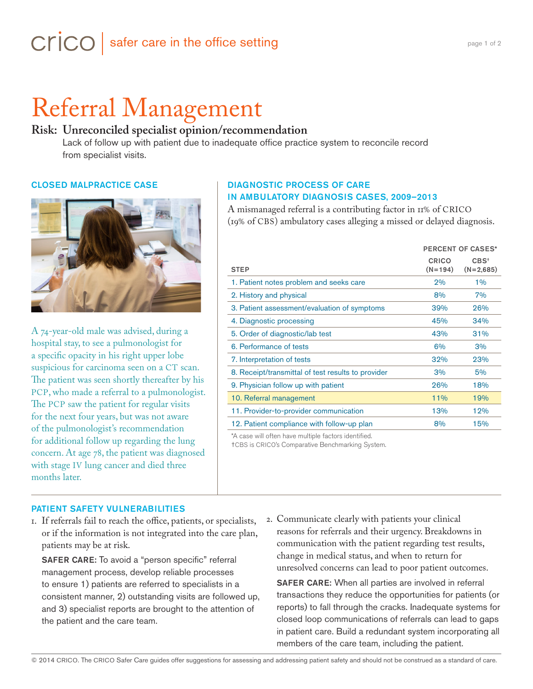# Referral Management

# **Risk: Unreconciled specialist opinion/recommendation**

Lack of follow up with patient due to inadequate office practice system to reconcile record from specialist visits.

#### CLOSED MALPRACTICE CASE



A 74-year-old male was advised, during a hospital stay, to see a pulmonologist for a specific opacity in his right upper lobe suspicious for carcinoma seen on a CT scan. The patient was seen shortly thereafter by his PCP, who made a referral to a pulmonologist. The PCP saw the patient for regular visits for the next four years, but was not aware of the pulmonologist's recommendation for additional follow up regarding the lung concern. At age 78, the patient was diagnosed with stage IV lung cancer and died three months later.

### DIAGNOSTIC PROCESS OF CARE IN AMBULATORY DIAGNOSIS CASES, 2009–2013

A mismanaged referral is a contributing factor in 11% of CRICO (19% of CBS) ambulatory cases alleging a missed or delayed diagnosis.

|                                                    | <b>PERCENT OF CASES*</b>  |                       |
|----------------------------------------------------|---------------------------|-----------------------|
| <b>STEP</b>                                        | <b>CRICO</b><br>$(N=194)$ | $CBS+$<br>$(N=2,685)$ |
| 1. Patient notes problem and seeks care            | 2%                        | $1\%$                 |
| 2. History and physical                            | 8%                        | 7%                    |
| 3. Patient assessment/evaluation of symptoms       | 39%                       | 26%                   |
| 4. Diagnostic processing                           | 45%                       | 34%                   |
| 5. Order of diagnostic/lab test                    | 43%                       | 31%                   |
| 6. Performance of tests                            | 6%                        | 3%                    |
| 7. Interpretation of tests                         | 32%                       | 23%                   |
| 8. Receipt/transmittal of test results to provider | 3%                        | 5%                    |
| 9. Physician follow up with patient                | 26%                       | 18%                   |
| 10. Referral management                            | 11%                       | 19%                   |
| 11. Provider-to-provider communication             | 13%                       | 12%                   |
| 12. Patient compliance with follow-up plan         | 8%                        | 15%                   |

\*A case will often have multiple factors identified.

†CBS is CRICO's Comparative Benchmarking System.

#### PATIENT SAFETY VULNERABILITIES

1. If referrals fail to reach the office, patients, or specialists, or if the information is not integrated into the care plan, patients may be at risk.

SAFER CARE: To avoid a "person specific" referral management process, develop reliable processes to ensure 1) patients are referred to specialists in a consistent manner, 2) outstanding visits are followed up, and 3) specialist reports are brought to the attention of the patient and the care team.

2. Communicate clearly with patients your clinical reasons for referrals and their urgency. Breakdowns in communication with the patient regarding test results, change in medical status, and when to return for unresolved concerns can lead to poor patient outcomes.

SAFER CARE: When all parties are involved in referral transactions they reduce the opportunities for patients (or reports) to fall through the cracks. Inadequate systems for closed loop communications of referrals can lead to gaps in patient care. Build a redundant system incorporating all members of the care team, including the patient.